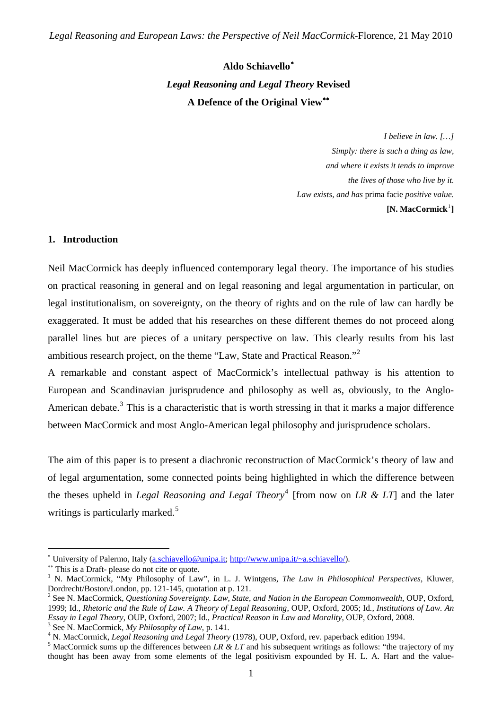# **Aldo Schiavello**[∗](#page-0-0) *Legal Reasoning and Legal Theory* **Revised A Defence of the Original View**[∗∗](#page-0-1)

*I believe in law. […] Simply: there is such a thing as law, and where it exists it tends to improve the lives of those who live by it. Law exists, and has* prima facie *positive value.*  **[N. MacCormick**[1](#page-0-2) **]** 

# **1. Introduction**

Neil MacCormick has deeply influenced contemporary legal theory. The importance of his studies on practical reasoning in general and on legal reasoning and legal argumentation in particular, on legal institutionalism, on sovereignty, on the theory of rights and on the rule of law can hardly be exaggerated. It must be added that his researches on these different themes do not proceed along parallel lines but are pieces of a unitary perspective on law. This clearly results from his last ambitious research project, on the theme "Law, State and Practical Reason."<sup>[2](#page-0-3)</sup>

A remarkable and constant aspect of MacCormick's intellectual pathway is his attention to European and Scandinavian jurisprudence and philosophy as well as, obviously, to the Anglo-American debate.<sup>[3](#page-0-4)</sup> This is a characteristic that is worth stressing in that it marks a major difference between MacCormick and most Anglo-American legal philosophy and jurisprudence scholars.

The aim of this paper is to present a diachronic reconstruction of MacCormick's theory of law and of legal argumentation, some connected points being highlighted in which the difference between the theses upheld in *Legal Reasoning and Legal Theory*[4](#page-0-5) [from now on *LR & LT*] and the later writings is particularly marked.<sup>[5](#page-0-6)</sup>

<span id="page-0-0"></span><sup>∗</sup> University of Palermo, Italy [\(a.schiavello@unipa.it;](mailto:a.schiavello@unipa.it) [http://www.unipa.it/~a.schiavello/\)](http://www.unipa.it/%7Ea.schiavello/).

<sup>∗∗</sup> This is a Draft- please do not cite or quote. 1

<span id="page-0-2"></span><span id="page-0-1"></span><sup>&</sup>lt;sup>1</sup> N. MacCormick, "My Philosophy of Law", in L. J. Wintgens, *The Law in Philosophical Perspectives*, Kluwer, Dordrecht/Boston/London, pp. 121-145, quotation at p. 121.

<span id="page-0-3"></span><sup>2</sup> See N. MacCormick, *Questioning Sovereignty. Law, State, and Nation in the European Commonwealth*, OUP, Oxford, 1999; Id., *Rhetoric and the Rule of Law. A Theory of Legal Reasoning*, OUP, Oxford, 2005; Id*., Institutions of Law. An Essay in Legal Theory*, OUP, Oxford, 2007; Id., *Practical Reason in Law and Morality*, OUP, Oxford, 2008. <sup>3</sup> See N. MacCormick, *My Philosophy of Law*, p. 141.

<span id="page-0-4"></span><sup>&</sup>lt;sup>3</sup> See N. MacCormick, *My Philosophy of Law*, p. 141.<br><sup>4</sup> N. MacCormick, *Lagel Pageoning and Lagel Theory* 

<span id="page-0-5"></span><sup>&</sup>lt;sup>4</sup> N. MacCormick, *Legal Reasoning and Legal Theory* (1978), OUP, Oxford, rev. paperback edition 1994.<br><sup>5</sup> MacCormick sums up the differences between *LB <sup>e</sup> LT* and bis subsequent wittings as fallows: "the tra

<span id="page-0-6"></span><sup>&</sup>lt;sup>5</sup> MacCormick sums up the differences between *LR & LT* and his subsequent writings as follows: "the trajectory of my thought has been away from some elements of the legal positivism expounded by H. L. A. Hart and the value-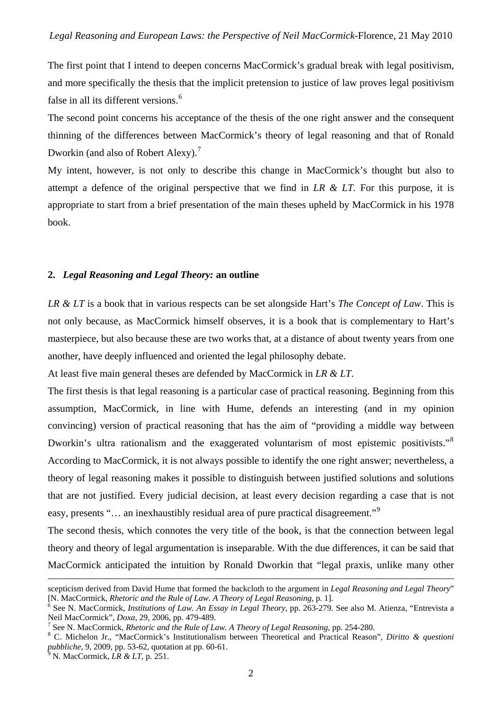The first point that I intend to deepen concerns MacCormick's gradual break with legal positivism, and more specifically the thesis that the implicit pretension to justice of law proves legal positivism false in all its different versions.<sup>[6](#page-1-0)</sup>

The second point concerns his acceptance of the thesis of the one right answer and the consequent thinning of the differences between MacCormick's theory of legal reasoning and that of Ronald Dworkin (and also of Robert Alexy).<sup>[7](#page-1-1)</sup>

My intent, however, is not only to describe this change in MacCormick's thought but also to attempt a defence of the original perspective that we find in *LR & LT.* For this purpose, it is appropriate to start from a brief presentation of the main theses upheld by MacCormick in his 1978 book.

# **2.** *Legal Reasoning and Legal Theory:* **an outline**

*LR & LT* is a book that in various respects can be set alongside Hart's *The Concept of Law*. This is not only because, as MacCormick himself observes, it is a book that is complementary to Hart's masterpiece, but also because these are two works that, at a distance of about twenty years from one another, have deeply influenced and oriented the legal philosophy debate.

At least five main general theses are defended by MacCormick in *LR & LT*.

The first thesis is that legal reasoning is a particular case of practical reasoning. Beginning from this assumption, MacCormick, in line with Hume, defends an interesting (and in my opinion convincing) version of practical reasoning that has the aim of "providing a middle way between Dworkin's ultra rationalism and the exaggerated voluntarism of most epistemic positivists."<sup>[8](#page-1-2)</sup> According to MacCormick, it is not always possible to identify the one right answer; nevertheless, a theory of legal reasoning makes it possible to distinguish between justified solutions and solutions that are not justified. Every judicial decision, at least every decision regarding a case that is not easy, presents "... an inexhaustibly residual area of pure practical disagreement."<sup>[9](#page-1-3)</sup>

The second thesis, which connotes the very title of the book, is that the connection between legal theory and theory of legal argumentation is inseparable. With the due differences, it can be said that MacCormick anticipated the intuition by Ronald Dworkin that "legal praxis, unlike many other

scepticism derived from David Hume that formed the backcloth to the argument in *Legal Reasoning and Legal Theory*" [N. MacCormick, *Rhetoric and the Rule of Law. A Theory of Legal Reasoning*, p. 1].

<span id="page-1-0"></span>See N. MacCormick, *Institutions of Law. An Essay in Legal Theory*, pp. 263-279. See also M. Atienza, "Entrevista a Neil MacCormick", *Doxa*, 29, 2006, pp. 479-489. 7

<span id="page-1-1"></span>See N. MacCormick, *Rhetoric and the Rule of Law. A Theory of Legal Reasoning*, pp. 254-280.

<span id="page-1-2"></span>C. Michelon Jr., "MacCormick's Institutionalism between Theoretical and Practical Reason", *Diritto & questioni pubbliche*, 9, 2009, pp. 53-62, quotation at pp. 60-61.<br><sup>9</sup> N. MacCormick, *LR & LT*, p. 251.

<span id="page-1-3"></span>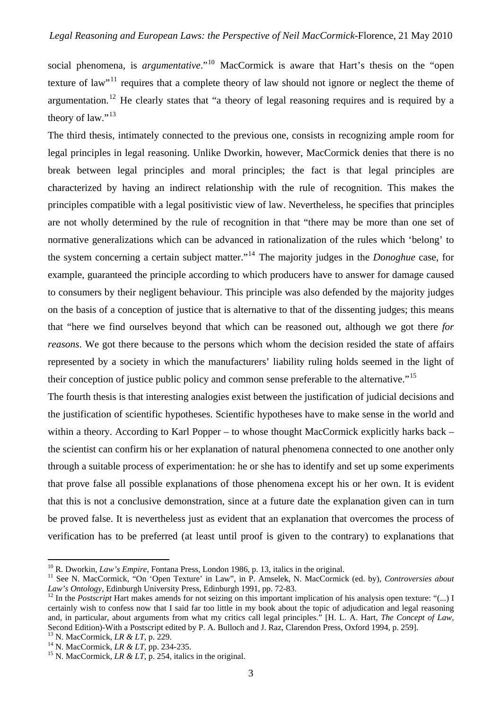social phenomena, is *argumentative*."<sup>[10](#page-2-0)</sup> MacCormick is aware that Hart's thesis on the "open texture of law"<sup>[11](#page-2-1)</sup> requires that a complete theory of law should not ignore or neglect the theme of argumentation.<sup>[12](#page-2-2)</sup> He clearly states that "a theory of legal reasoning requires and is required by a theory of law."<sup>[13](#page-2-3)</sup>

The third thesis, intimately connected to the previous one, consists in recognizing ample room for legal principles in legal reasoning. Unlike Dworkin, however, MacCormick denies that there is no break between legal principles and moral principles; the fact is that legal principles are characterized by having an indirect relationship with the rule of recognition. This makes the principles compatible with a legal positivistic view of law. Nevertheless, he specifies that principles are not wholly determined by the rule of recognition in that "there may be more than one set of normative generalizations which can be advanced in rationalization of the rules which 'belong' to the system concerning a certain subject matter."[14](#page-2-4) The majority judges in the *Donoghue* case, for example, guaranteed the principle according to which producers have to answer for damage caused to consumers by their negligent behaviour. This principle was also defended by the majority judges on the basis of a conception of justice that is alternative to that of the dissenting judges; this means that "here we find ourselves beyond that which can be reasoned out, although we got there *for reasons*. We got there because to the persons which whom the decision resided the state of affairs represented by a society in which the manufacturers' liability ruling holds seemed in the light of their conception of justice public policy and common sense preferable to the alternative."<sup>[15](#page-2-5)</sup>

The fourth thesis is that interesting analogies exist between the justification of judicial decisions and the justification of scientific hypotheses. Scientific hypotheses have to make sense in the world and within a theory. According to Karl Popper – to whose thought MacCormick explicitly harks back – the scientist can confirm his or her explanation of natural phenomena connected to one another only through a suitable process of experimentation: he or she has to identify and set up some experiments that prove false all possible explanations of those phenomena except his or her own. It is evident that this is not a conclusive demonstration, since at a future date the explanation given can in turn be proved false. It is nevertheless just as evident that an explanation that overcomes the process of verification has to be preferred (at least until proof is given to the contrary) to explanations that

<span id="page-2-1"></span>

<span id="page-2-0"></span><sup>&</sup>lt;sup>10</sup> R. Dworkin, *Law's Empire*, Fontana Press, London 1986, p. 13, italics in the original.<br><sup>11</sup> See N. MacCormick, "On 'Open Texture' in Law", in P. Amselek, N. MacCormick (ed. by), *Controversies about Law's Ontology*,

<span id="page-2-2"></span><sup>&</sup>lt;sup>12</sup> In the *Postscript* Hart makes amends for not seizing on this important implication of his analysis open texture: "(...) I certainly wish to confess now that I said far too little in my book about the topic of adjudication and legal reasoning and, in particular, about arguments from what my critics call legal principles." [H. L. A. Hart, *The Concept of Law*, Second Edition)-With a Postscript edited by P. A. Bulloch and J. Raz, Clarendon Press, Oxford 1994, p. 259].<br><sup>13</sup> N. MacCormick, *LR & LT*, p. 229.<br><sup>14</sup> N. MacCormick, *LR & LT*, p. 234-235.<br><sup>15</sup> N. MacCormick, *LR & LT*,

<span id="page-2-3"></span>

<span id="page-2-4"></span>

<span id="page-2-5"></span>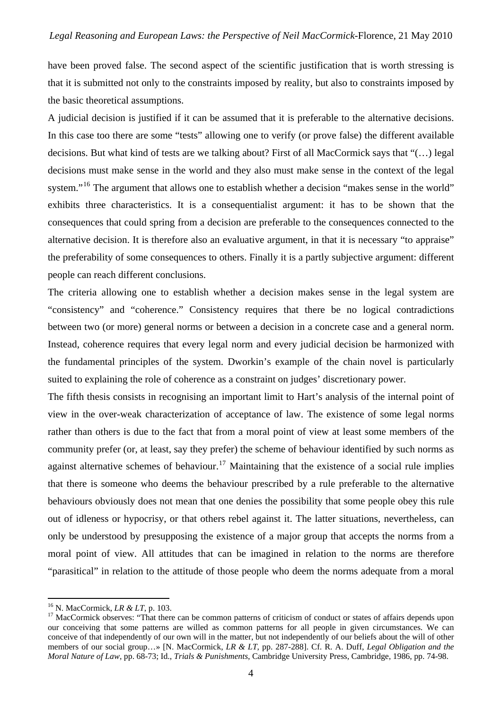have been proved false. The second aspect of the scientific justification that is worth stressing is that it is submitted not only to the constraints imposed by reality, but also to constraints imposed by the basic theoretical assumptions.

A judicial decision is justified if it can be assumed that it is preferable to the alternative decisions. In this case too there are some "tests" allowing one to verify (or prove false) the different available decisions. But what kind of tests are we talking about? First of all MacCormick says that "(…) legal decisions must make sense in the world and they also must make sense in the context of the legal system."<sup>[16](#page-3-0)</sup> The argument that allows one to establish whether a decision "makes sense in the world" exhibits three characteristics. It is a consequentialist argument: it has to be shown that the consequences that could spring from a decision are preferable to the consequences connected to the alternative decision. It is therefore also an evaluative argument, in that it is necessary "to appraise" the preferability of some consequences to others. Finally it is a partly subjective argument: different people can reach different conclusions.

The criteria allowing one to establish whether a decision makes sense in the legal system are "consistency" and "coherence." Consistency requires that there be no logical contradictions between two (or more) general norms or between a decision in a concrete case and a general norm. Instead, coherence requires that every legal norm and every judicial decision be harmonized with the fundamental principles of the system. Dworkin's example of the chain novel is particularly suited to explaining the role of coherence as a constraint on judges' discretionary power.

The fifth thesis consists in recognising an important limit to Hart's analysis of the internal point of view in the over-weak characterization of acceptance of law. The existence of some legal norms rather than others is due to the fact that from a moral point of view at least some members of the community prefer (or, at least, say they prefer) the scheme of behaviour identified by such norms as against alternative schemes of behaviour.<sup>[17](#page-3-1)</sup> Maintaining that the existence of a social rule implies that there is someone who deems the behaviour prescribed by a rule preferable to the alternative behaviours obviously does not mean that one denies the possibility that some people obey this rule out of idleness or hypocrisy, or that others rebel against it. The latter situations, nevertheless, can only be understood by presupposing the existence of a major group that accepts the norms from a moral point of view. All attitudes that can be imagined in relation to the norms are therefore "parasitical" in relation to the attitude of those people who deem the norms adequate from a moral

 $\overline{a}$ 

<span id="page-3-1"></span><span id="page-3-0"></span><sup>&</sup>lt;sup>16</sup> N. MacCormick, *LR & LT*, p. 103.<br><sup>17</sup> MacCormick observes: "That there can be common patterns of criticism of conduct or states of affairs depends upon our conceiving that some patterns are willed as common patterns for all people in given circumstances. We can conceive of that independently of our own will in the matter, but not independently of our beliefs about the will of other members of our social group…» [N. MacCormick, *LR & LT*, pp. 287-288]. Cf. R. A. Duff, *Legal Obligation and the Moral Nature of Law*, pp. 68-73; Id., *Trials & Punishments*, Cambridge University Press, Cambridge, 1986, pp. 74-98.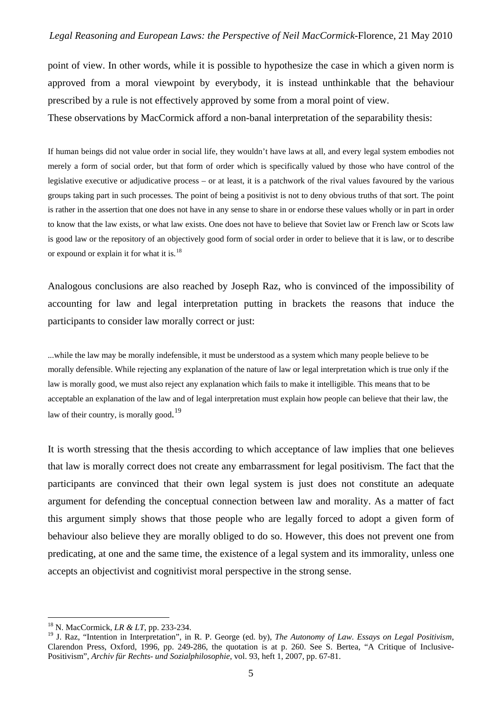#### *Legal Reasoning and European Laws: the Perspective of Neil MacCormick*-Florence, 21 May 2010

point of view. In other words, while it is possible to hypothesize the case in which a given norm is approved from a moral viewpoint by everybody, it is instead unthinkable that the behaviour prescribed by a rule is not effectively approved by some from a moral point of view.

These observations by MacCormick afford a non-banal interpretation of the separability thesis:

If human beings did not value order in social life, they wouldn't have laws at all, and every legal system embodies not merely a form of social order, but that form of order which is specifically valued by those who have control of the legislative executive or adjudicative process – or at least, it is a patchwork of the rival values favoured by the various groups taking part in such processes. The point of being a positivist is not to deny obvious truths of that sort. The point is rather in the assertion that one does not have in any sense to share in or endorse these values wholly or in part in order to know that the law exists, or what law exists. One does not have to believe that Soviet law or French law or Scots law is good law or the repository of an objectively good form of social order in order to believe that it is law, or to describe or expound or explain it for what it is.[18](#page-4-0)

Analogous conclusions are also reached by Joseph Raz, who is convinced of the impossibility of accounting for law and legal interpretation putting in brackets the reasons that induce the participants to consider law morally correct or just:

...while the law may be morally indefensible, it must be understood as a system which many people believe to be morally defensible. While rejecting any explanation of the nature of law or legal interpretation which is true only if the law is morally good, we must also reject any explanation which fails to make it intelligible. This means that to be acceptable an explanation of the law and of legal interpretation must explain how people can believe that their law, the law of their country, is morally good.<sup>[19](#page-4-1)</sup>

It is worth stressing that the thesis according to which acceptance of law implies that one believes that law is morally correct does not create any embarrassment for legal positivism. The fact that the participants are convinced that their own legal system is just does not constitute an adequate argument for defending the conceptual connection between law and morality. As a matter of fact this argument simply shows that those people who are legally forced to adopt a given form of behaviour also believe they are morally obliged to do so. However, this does not prevent one from predicating, at one and the same time, the existence of a legal system and its immorality, unless one accepts an objectivist and cognitivist moral perspective in the strong sense.

<span id="page-4-0"></span><sup>18</sup> N. MacCormick, *LR & LT*, pp. 233-234.

<span id="page-4-1"></span><sup>&</sup>lt;sup>19</sup> J. Raz, "Intention in Interpretation", in R. P. George (ed. by), *The Autonomy of Law. Essays on Legal Positivism*, Clarendon Press, Oxford, 1996, pp. 249-286, the quotation is at p. 260. See S. Bertea, "A Critique of Inclusive-Positivism", *Archiv für Rechts- und Sozialphilosophie*, vol. 93, heft 1, 2007, pp. 67-81.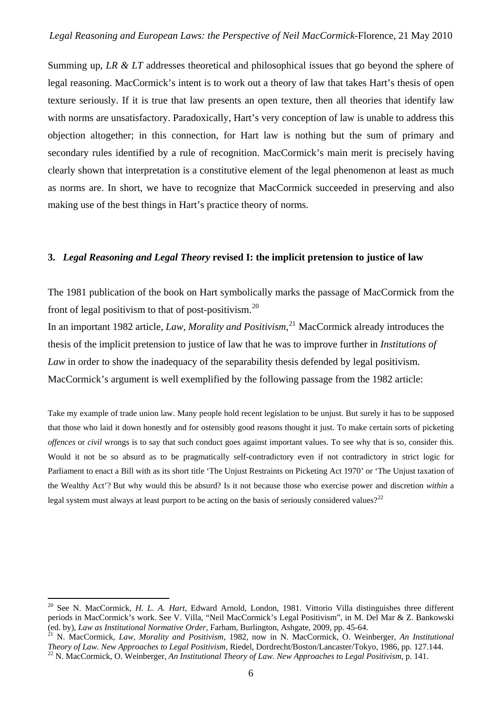Summing up, *LR & LT* addresses theoretical and philosophical issues that go beyond the sphere of legal reasoning. MacCormick's intent is to work out a theory of law that takes Hart's thesis of open texture seriously. If it is true that law presents an open texture, then all theories that identify law with norms are unsatisfactory. Paradoxically, Hart's very conception of law is unable to address this objection altogether; in this connection, for Hart law is nothing but the sum of primary and secondary rules identified by a rule of recognition. MacCormick's main merit is precisely having clearly shown that interpretation is a constitutive element of the legal phenomenon at least as much as norms are. In short, we have to recognize that MacCormick succeeded in preserving and also making use of the best things in Hart's practice theory of norms.

## **3.** *Legal Reasoning and Legal Theory* **revised I: the implicit pretension to justice of law**

The 1981 publication of the book on Hart symbolically marks the passage of MacCormick from the front of legal positivism to that of post-positivism.<sup>[20](#page-5-0)</sup>

In an important 1982 article, *Law, Morality and Positivism*, [21](#page-5-1) MacCormick already introduces the thesis of the implicit pretension to justice of law that he was to improve further in *Institutions of Law* in order to show the inadequacy of the separability thesis defended by legal positivism. MacCormick's argument is well exemplified by the following passage from the 1982 article:

Take my example of trade union law. Many people hold recent legislation to be unjust. But surely it has to be supposed that those who laid it down honestly and for ostensibly good reasons thought it just. To make certain sorts of picketing *offences* or *civil* wrongs is to say that such conduct goes against important values. To see why that is so, consider this. Would it not be so absurd as to be pragmatically self-contradictory even if not contradictory in strict logic for Parliament to enact a Bill with as its short title 'The Unjust Restraints on Picketing Act 1970' or 'The Unjust taxation of the Wealthy Act'? But why would this be absurd? Is it not because those who exercise power and discretion *within* a legal system must always at least purport to be acting on the basis of seriously considered values?<sup>[22](#page-5-2)</sup>

<span id="page-5-0"></span><sup>20</sup> See N. MacCormick, *H. L. A. Hart*, Edward Arnold, London, 1981. Vittorio Villa distinguishes three different periods in MacCormick's work. See V. Villa, "Neil MacCormick's Legal Positivism", in M. Del Mar & Z. Bankowski

<span id="page-5-2"></span><span id="page-5-1"></span><sup>(</sup>ed. by), *Law as Institutional Normative Order*, Farham, Burlington, Ashgate, 2009, pp. 45-64.<br><sup>21</sup> N. MacCormick, *Law, Morality and Positivism*, 1982, now in N. MacCormick, O. Weinberger, *An Institutional Theory of Law* <sup>22</sup> N. MacCormick, O. Weinberger, An Institutional Theory of Law. New Approaches to Legal Positivism, p. 141.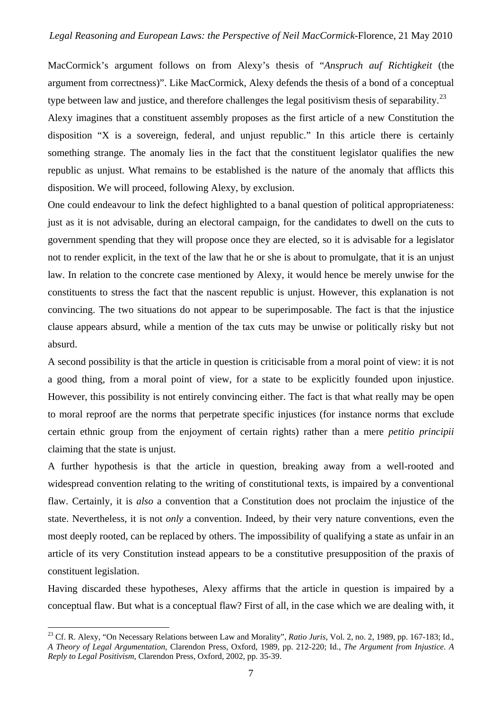MacCormick's argument follows on from Alexy's thesis of "*Anspruch auf Richtigkeit* (the argument from correctness)". Like MacCormick, Alexy defends the thesis of a bond of a conceptual type between law and justice, and therefore challenges the legal positivism thesis of separability.<sup>[23](#page-6-0)</sup>

Alexy imagines that a constituent assembly proposes as the first article of a new Constitution the disposition "X is a sovereign, federal, and unjust republic." In this article there is certainly something strange. The anomaly lies in the fact that the constituent legislator qualifies the new republic as unjust. What remains to be established is the nature of the anomaly that afflicts this disposition. We will proceed, following Alexy, by exclusion.

One could endeavour to link the defect highlighted to a banal question of political appropriateness: just as it is not advisable, during an electoral campaign, for the candidates to dwell on the cuts to government spending that they will propose once they are elected, so it is advisable for a legislator not to render explicit, in the text of the law that he or she is about to promulgate, that it is an unjust law. In relation to the concrete case mentioned by Alexy, it would hence be merely unwise for the constituents to stress the fact that the nascent republic is unjust. However, this explanation is not convincing. The two situations do not appear to be superimposable. The fact is that the injustice clause appears absurd, while a mention of the tax cuts may be unwise or politically risky but not absurd.

A second possibility is that the article in question is criticisable from a moral point of view: it is not a good thing, from a moral point of view, for a state to be explicitly founded upon injustice. However, this possibility is not entirely convincing either. The fact is that what really may be open to moral reproof are the norms that perpetrate specific injustices (for instance norms that exclude certain ethnic group from the enjoyment of certain rights) rather than a mere *petitio principii*  claiming that the state is unjust.

A further hypothesis is that the article in question, breaking away from a well-rooted and widespread convention relating to the writing of constitutional texts, is impaired by a conventional flaw. Certainly, it is *also* a convention that a Constitution does not proclaim the injustice of the state. Nevertheless, it is not *only* a convention. Indeed, by their very nature conventions, even the most deeply rooted, can be replaced by others. The impossibility of qualifying a state as unfair in an article of its very Constitution instead appears to be a constitutive presupposition of the praxis of constituent legislation.

Having discarded these hypotheses, Alexy affirms that the article in question is impaired by a conceptual flaw. But what is a conceptual flaw? First of all, in the case which we are dealing with, it

<span id="page-6-0"></span><sup>23</sup> Cf. R. Alexy, "On Necessary Relations between Law and Morality", *Ratio Juris*, Vol. 2, no. 2, 1989, pp. 167-183; Id., *A Theory of Legal Argumentation*, Clarendon Press, Oxford, 1989, pp. 212-220; Id., *The Argument from Injustice. A Reply to Legal Positivism*, Clarendon Press, Oxford, 2002, pp. 35-39.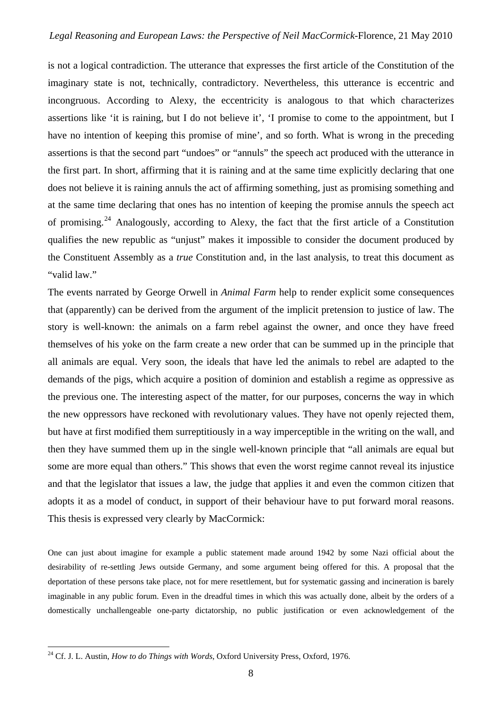is not a logical contradiction. The utterance that expresses the first article of the Constitution of the imaginary state is not, technically, contradictory. Nevertheless, this utterance is eccentric and incongruous. According to Alexy, the eccentricity is analogous to that which characterizes assertions like 'it is raining, but I do not believe it', 'I promise to come to the appointment, but I have no intention of keeping this promise of mine', and so forth. What is wrong in the preceding assertions is that the second part "undoes" or "annuls" the speech act produced with the utterance in the first part. In short, affirming that it is raining and at the same time explicitly declaring that one does not believe it is raining annuls the act of affirming something, just as promising something and at the same time declaring that ones has no intention of keeping the promise annuls the speech act of promising.[24](#page-7-0) Analogously, according to Alexy, the fact that the first article of a Constitution qualifies the new republic as "unjust" makes it impossible to consider the document produced by the Constituent Assembly as a *true* Constitution and, in the last analysis, to treat this document as "valid law"

The events narrated by George Orwell in *Animal Farm* help to render explicit some consequences that (apparently) can be derived from the argument of the implicit pretension to justice of law. The story is well-known: the animals on a farm rebel against the owner, and once they have freed themselves of his yoke on the farm create a new order that can be summed up in the principle that all animals are equal. Very soon, the ideals that have led the animals to rebel are adapted to the demands of the pigs, which acquire a position of dominion and establish a regime as oppressive as the previous one. The interesting aspect of the matter, for our purposes, concerns the way in which the new oppressors have reckoned with revolutionary values. They have not openly rejected them, but have at first modified them surreptitiously in a way imperceptible in the writing on the wall, and then they have summed them up in the single well-known principle that "all animals are equal but some are more equal than others." This shows that even the worst regime cannot reveal its injustice and that the legislator that issues a law, the judge that applies it and even the common citizen that adopts it as a model of conduct, in support of their behaviour have to put forward moral reasons. This thesis is expressed very clearly by MacCormick:

One can just about imagine for example a public statement made around 1942 by some Nazi official about the desirability of re-settling Jews outside Germany, and some argument being offered for this. A proposal that the deportation of these persons take place, not for mere resettlement, but for systematic gassing and incineration is barely imaginable in any public forum. Even in the dreadful times in which this was actually done, albeit by the orders of a domestically unchallengeable one-party dictatorship, no public justification or even acknowledgement of the

<span id="page-7-0"></span><sup>24</sup> Cf. J. L. Austin, *How to do Things with Words*, Oxford University Press, Oxford, 1976.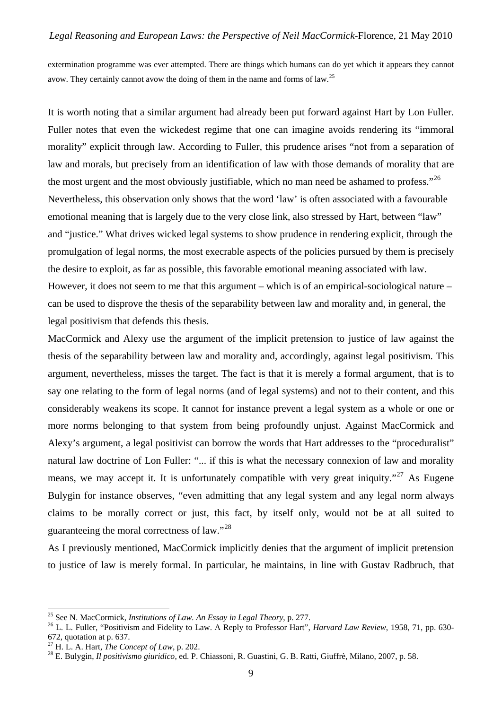extermination programme was ever attempted. There are things which humans can do yet which it appears they cannot avow. They certainly cannot avow the doing of them in the name and forms of law.[25](#page-8-0)

It is worth noting that a similar argument had already been put forward against Hart by Lon Fuller. Fuller notes that even the wickedest regime that one can imagine avoids rendering its "immoral morality" explicit through law. According to Fuller, this prudence arises "not from a separation of law and morals, but precisely from an identification of law with those demands of morality that are the most urgent and the most obviously justifiable, which no man need be ashamed to profess."<sup>[26](#page-8-1)</sup> Nevertheless, this observation only shows that the word 'law' is often associated with a favourable emotional meaning that is largely due to the very close link, also stressed by Hart, between "law" and "justice." What drives wicked legal systems to show prudence in rendering explicit, through the promulgation of legal norms, the most execrable aspects of the policies pursued by them is precisely the desire to exploit, as far as possible, this favorable emotional meaning associated with law. However, it does not seem to me that this argument – which is of an empirical-sociological nature – can be used to disprove the thesis of the separability between law and morality and, in general, the legal positivism that defends this thesis.

MacCormick and Alexy use the argument of the implicit pretension to justice of law against the thesis of the separability between law and morality and, accordingly, against legal positivism. This argument, nevertheless, misses the target. The fact is that it is merely a formal argument, that is to say one relating to the form of legal norms (and of legal systems) and not to their content, and this considerably weakens its scope. It cannot for instance prevent a legal system as a whole or one or more norms belonging to that system from being profoundly unjust. Against MacCormick and Alexy's argument, a legal positivist can borrow the words that Hart addresses to the "proceduralist" natural law doctrine of Lon Fuller: "... if this is what the necessary connexion of law and morality means, we may accept it. It is unfortunately compatible with very great iniquity."<sup>[27](#page-8-2)</sup> As Eugene Bulygin for instance observes, "even admitting that any legal system and any legal norm always claims to be morally correct or just, this fact, by itself only, would not be at all suited to guaranteeing the moral correctness of law."[28](#page-8-3)

As I previously mentioned, MacCormick implicitly denies that the argument of implicit pretension to justice of law is merely formal. In particular, he maintains, in line with Gustav Radbruch, that

<span id="page-8-1"></span><span id="page-8-0"></span><sup>&</sup>lt;sup>25</sup> See N. MacCormick, *Institutions of Law. An Essay in Legal Theory*, p. 277.<br><sup>26</sup> L. L. Fuller, "Positivism and Fidelity to Law. A Reply to Professor Hart", *Harvard Law Review*, 1958, 71, pp. 630-672, quotation at p. 637.<br> $^{27}$  H. L. A. Hart, *The Concept of Law*, p. 202.

<span id="page-8-2"></span>

<span id="page-8-3"></span><sup>&</sup>lt;sup>28</sup> E. Bulygin, *Il positivismo giuridico*, ed. P. Chiassoni, R. Guastini, G. B. Ratti, Giuffrè, Milano, 2007, p. 58.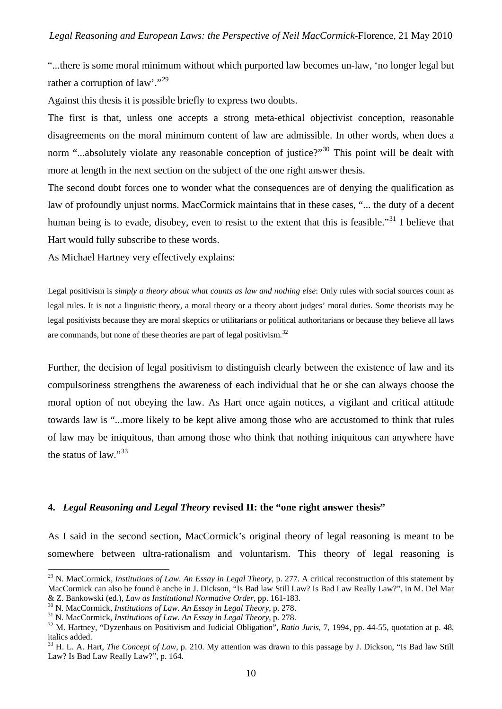"...there is some moral minimum without which purported law becomes un-law, 'no longer legal but rather a corruption of law'."<sup>[29](#page-9-0)</sup>

Against this thesis it is possible briefly to express two doubts.

The first is that, unless one accepts a strong meta-ethical objectivist conception, reasonable disagreements on the moral minimum content of law are admissible. In other words, when does a norm "...absolutely violate any reasonable conception of justice?"<sup>[30](#page-9-1)</sup> This point will be dealt with more at length in the next section on the subject of the one right answer thesis.

The second doubt forces one to wonder what the consequences are of denying the qualification as law of profoundly unjust norms. MacCormick maintains that in these cases, "... the duty of a decent human being is to evade, disobey, even to resist to the extent that this is feasible."<sup>[31](#page-9-2)</sup> I believe that Hart would fully subscribe to these words.

As Michael Hartney very effectively explains:

Legal positivism is *simply a theory about what counts as law and nothing else*: Only rules with social sources count as legal rules. It is not a linguistic theory, a moral theory or a theory about judges' moral duties. Some theorists may be legal positivists because they are moral skeptics or utilitarians or political authoritarians or because they believe all laws are commands, but none of these theories are part of legal positivism.<sup>[32](#page-9-3)</sup>

Further, the decision of legal positivism to distinguish clearly between the existence of law and its compulsoriness strengthens the awareness of each individual that he or she can always choose the moral option of not obeying the law. As Hart once again notices, a vigilant and critical attitude towards law is "...more likely to be kept alive among those who are accustomed to think that rules of law may be iniquitous, than among those who think that nothing iniquitous can anywhere have the status of law."[33](#page-9-4)

## **4.** *Legal Reasoning and Legal Theory* **revised II: the "one right answer thesis"**

As I said in the second section, MacCormick's original theory of legal reasoning is meant to be somewhere between ultra-rationalism and voluntarism. This theory of legal reasoning is

<span id="page-9-0"></span><sup>29</sup> N. MacCormick, *Institutions of Law. An Essay in Legal Theory*, p. 277. A critical reconstruction of this statement by MacCormick can also be found è anche in J. Dickson, "Is Bad law Still Law? Is Bad Law Really Law?", in M. Del Mar

<span id="page-9-1"></span>

<span id="page-9-3"></span><span id="page-9-2"></span>

<sup>&</sup>amp; Z. Bankowski (ed.), *Law as Institutional Normative Order*, pp. 161-183.<br><sup>30</sup> N. MacCormick, *Institutions of Law. An Essay in Legal Theory*, p. 278.<br><sup>31</sup> N. MacCormick, *Institutions of Law. An Essay in Legal Theory*, p italics added.

<span id="page-9-4"></span><sup>&</sup>lt;sup>33</sup> H. L. A. Hart, *The Concept of Law*, p. 210. My attention was drawn to this passage by J. Dickson, "Is Bad law Still Law? Is Bad Law Really Law?", p. 164.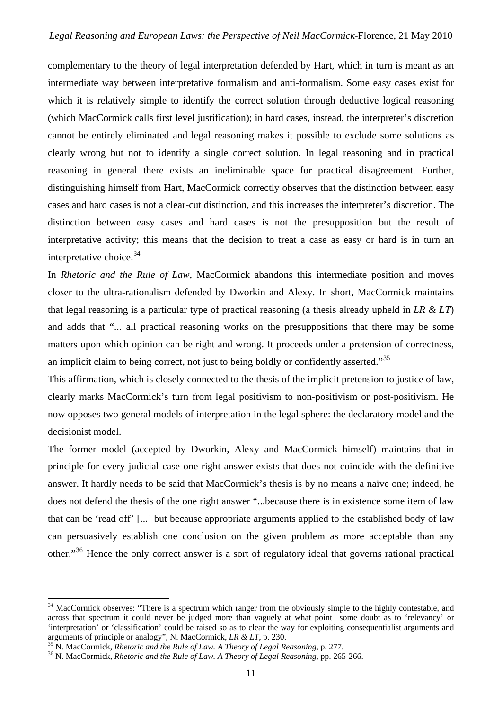complementary to the theory of legal interpretation defended by Hart, which in turn is meant as an intermediate way between interpretative formalism and anti-formalism. Some easy cases exist for which it is relatively simple to identify the correct solution through deductive logical reasoning (which MacCormick calls first level justification); in hard cases, instead, the interpreter's discretion cannot be entirely eliminated and legal reasoning makes it possible to exclude some solutions as clearly wrong but not to identify a single correct solution. In legal reasoning and in practical reasoning in general there exists an ineliminable space for practical disagreement. Further, distinguishing himself from Hart, MacCormick correctly observes that the distinction between easy cases and hard cases is not a clear-cut distinction, and this increases the interpreter's discretion. The distinction between easy cases and hard cases is not the presupposition but the result of interpretative activity; this means that the decision to treat a case as easy or hard is in turn an interpretative choice. $34$ 

In *Rhetoric and the Rule of Law*, MacCormick abandons this intermediate position and moves closer to the ultra-rationalism defended by Dworkin and Alexy. In short, MacCormick maintains that legal reasoning is a particular type of practical reasoning (a thesis already upheld in *LR & LT*) and adds that "... all practical reasoning works on the presuppositions that there may be some matters upon which opinion can be right and wrong. It proceeds under a pretension of correctness, an implicit claim to being correct, not just to being boldly or confidently asserted."<sup>[35](#page-10-1)</sup>

This affirmation, which is closely connected to the thesis of the implicit pretension to justice of law, clearly marks MacCormick's turn from legal positivism to non-positivism or post-positivism. He now opposes two general models of interpretation in the legal sphere: the declaratory model and the decisionist model.

The former model (accepted by Dworkin, Alexy and MacCormick himself) maintains that in principle for every judicial case one right answer exists that does not coincide with the definitive answer. It hardly needs to be said that MacCormick's thesis is by no means a naïve one; indeed, he does not defend the thesis of the one right answer "...because there is in existence some item of law that can be 'read off' [...] but because appropriate arguments applied to the established body of law can persuasively establish one conclusion on the given problem as more acceptable than any other."[36](#page-10-2) Hence the only correct answer is a sort of regulatory ideal that governs rational practical

<span id="page-10-0"></span><sup>&</sup>lt;sup>34</sup> MacCormick observes: "There is a spectrum which ranger from the obviously simple to the highly contestable, and across that spectrum it could never be judged more than vaguely at what point some doubt as to 'relevancy' or 'interpretation' or 'classification' could be raised so as to clear the way for exploiting consequentialist arguments and arguments of principle or analogy", N. MacCormick, LR & LT, p. 230.<br><sup>35</sup> N. MacCormick, *Rhetoric and the Rule of Law. A Theory of Legal Reasoning*, p. 277.<br><sup>36</sup> N. MacCormick, *Rhetoric and the Rule of Law. A Theory of Le* 

<span id="page-10-1"></span>

<span id="page-10-2"></span>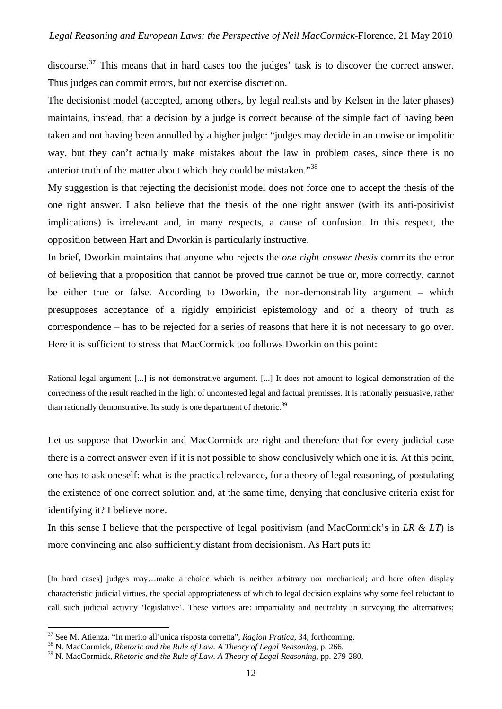discourse.<sup>[37](#page-11-0)</sup> This means that in hard cases too the judges' task is to discover the correct answer. Thus judges can commit errors, but not exercise discretion.

The decisionist model (accepted, among others, by legal realists and by Kelsen in the later phases) maintains, instead, that a decision by a judge is correct because of the simple fact of having been taken and not having been annulled by a higher judge: "judges may decide in an unwise or impolitic way, but they can't actually make mistakes about the law in problem cases, since there is no anterior truth of the matter about which they could be mistaken."<sup>[38](#page-11-1)</sup>

My suggestion is that rejecting the decisionist model does not force one to accept the thesis of the one right answer. I also believe that the thesis of the one right answer (with its anti-positivist implications) is irrelevant and, in many respects, a cause of confusion. In this respect, the opposition between Hart and Dworkin is particularly instructive.

In brief, Dworkin maintains that anyone who rejects the *one right answer thesis* commits the error of believing that a proposition that cannot be proved true cannot be true or, more correctly, cannot be either true or false. According to Dworkin, the non-demonstrability argument – which presupposes acceptance of a rigidly empiricist epistemology and of a theory of truth as correspondence – has to be rejected for a series of reasons that here it is not necessary to go over. Here it is sufficient to stress that MacCormick too follows Dworkin on this point:

Rational legal argument [...] is not demonstrative argument. [...] It does not amount to logical demonstration of the correctness of the result reached in the light of uncontested legal and factual premisses. It is rationally persuasive, rather than rationally demonstrative. Its study is one department of rhetoric.<sup>[39](#page-11-2)</sup>

Let us suppose that Dworkin and MacCormick are right and therefore that for every judicial case there is a correct answer even if it is not possible to show conclusively which one it is. At this point, one has to ask oneself: what is the practical relevance, for a theory of legal reasoning, of postulating the existence of one correct solution and, at the same time, denying that conclusive criteria exist for identifying it? I believe none.

In this sense I believe that the perspective of legal positivism (and MacCormick's in *LR & LT*) is more convincing and also sufficiently distant from decisionism. As Hart puts it:

[In hard cases] judges may…make a choice which is neither arbitrary nor mechanical; and here often display characteristic judicial virtues, the special appropriateness of which to legal decision explains why some feel reluctant to call such judicial activity 'legislative'. These virtues are: impartiality and neutrality in surveying the alternatives;

<span id="page-11-1"></span><span id="page-11-0"></span><sup>37</sup> See M. Atienza, "In merito all'unica risposta corretta", *Ragion Pratica*, 34, forthcoming. 38 N. MacCormick, *Rhetoric and the Rule of Law. A Theory of Legal Reasoning*, p. 266.

<span id="page-11-2"></span><sup>39</sup> N. MacCormick, *Rhetoric and the Rule of Law. A Theory of Legal Reasoning*, pp. 279-280.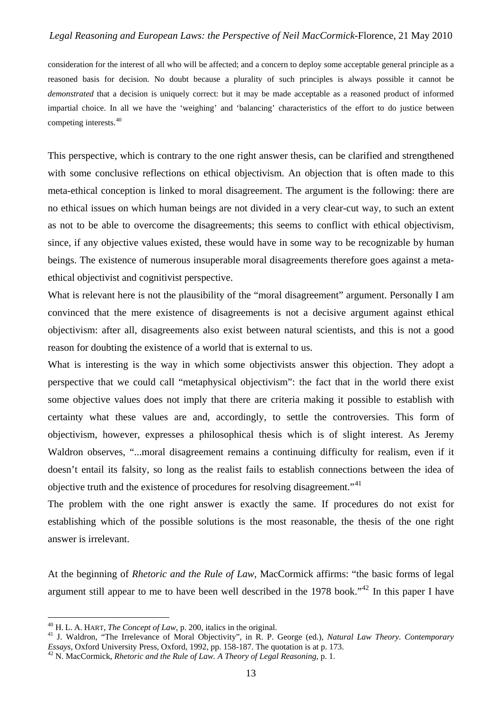consideration for the interest of all who will be affected; and a concern to deploy some acceptable general principle as a reasoned basis for decision. No doubt because a plurality of such principles is always possible it cannot be *demonstrated* that a decision is uniquely correct: but it may be made acceptable as a reasoned product of informed impartial choice. In all we have the 'weighing' and 'balancing' characteristics of the effort to do justice between competing interests.[40](#page-12-0)

This perspective, which is contrary to the one right answer thesis, can be clarified and strengthened with some conclusive reflections on ethical objectivism. An objection that is often made to this meta-ethical conception is linked to moral disagreement. The argument is the following: there are no ethical issues on which human beings are not divided in a very clear-cut way, to such an extent as not to be able to overcome the disagreements; this seems to conflict with ethical objectivism, since, if any objective values existed, these would have in some way to be recognizable by human beings. The existence of numerous insuperable moral disagreements therefore goes against a metaethical objectivist and cognitivist perspective.

What is relevant here is not the plausibility of the "moral disagreement" argument. Personally I am convinced that the mere existence of disagreements is not a decisive argument against ethical objectivism: after all, disagreements also exist between natural scientists, and this is not a good reason for doubting the existence of a world that is external to us.

What is interesting is the way in which some objectivists answer this objection. They adopt a perspective that we could call "metaphysical objectivism": the fact that in the world there exist some objective values does not imply that there are criteria making it possible to establish with certainty what these values are and, accordingly, to settle the controversies. This form of objectivism, however, expresses a philosophical thesis which is of slight interest. As Jeremy Waldron observes, "...moral disagreement remains a continuing difficulty for realism, even if it doesn't entail its falsity, so long as the realist fails to establish connections between the idea of objective truth and the existence of procedures for resolving disagreement."[41](#page-12-1)

The problem with the one right answer is exactly the same. If procedures do not exist for establishing which of the possible solutions is the most reasonable, the thesis of the one right answer is irrelevant.

At the beginning of *Rhetoric and the Rule of Law*, MacCormick affirms: "the basic forms of legal argument still appear to me to have been well described in the  $1978$  book."<sup>[42](#page-12-2)</sup> In this paper I have

<span id="page-12-1"></span><span id="page-12-0"></span>

<sup>&</sup>lt;sup>40</sup> H. L. A. HART, *The Concept of Law*, p. 200, italics in the original.<br><sup>41</sup> J. Waldron, "The Irrelevance of Moral Objectivity", in R. P. George (ed.), *Natural Law Theory. Contemporary Essays*, Oxford University Press, Oxford, 1992, pp. 158-187. The quotation is at p. 173.<br><sup>42</sup> N. MacCormick, *Rhetoric and the Rule of Law. A Theory of Legal Reasoning*, p. 1.

<span id="page-12-2"></span>